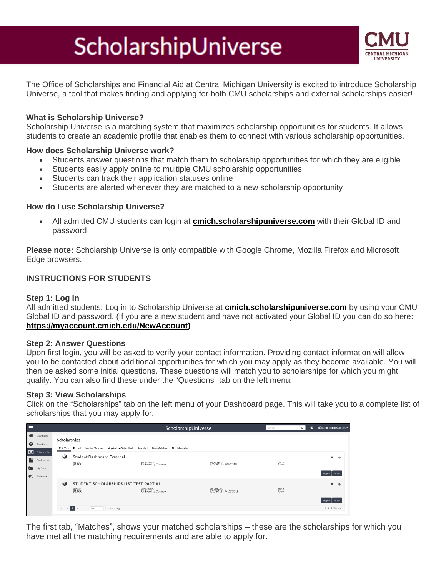# ScholarshipUniverse



The Office of Scholarships and Financial Aid at Central Michigan University is excited to introduce Scholarship Universe, a tool that makes finding and applying for both CMU scholarships and external scholarships easier!

#### **What is Scholarship Universe?**

Scholarship Universe is a matching system that maximizes scholarship opportunities for students. It allows students to create an academic profile that enables them to connect with various scholarship opportunities.

#### **How does Scholarship Universe work?**

- Students answer questions that match them to scholarship opportunities for which they are eligible
- Students easily apply online to multiple CMU scholarship opportunities
- Students can track their application statuses online
- Students are alerted whenever they are matched to a new scholarship opportunity

#### **How do I use Scholarship Universe?**

• All admitted CMU students can login at **[cmich.scholarshipuniverse.com](https://cmich.scholarshipuniverse.com/)** with their Global ID and password

**Please note:** Scholarship Universe is only compatible with Google Chrome, Mozilla Firefox and Microsoft Edge browsers.

#### **INSTRUCTIONS FOR STUDENTS**

#### **Step 1: Log In**

All admitted students: Log in to Scholarship Universe at **[cmich.scholarshipuniverse.com](https://cmich.scholarshipuniverse.com/)** by using your CMU Global ID and password. (If you are a new student and have not activated your Global ID you can do so here: **[https://myaccount.cmich.edu/NewAccount\)](https://myaccount.cmich.edu/NewAccount)**

#### **Step 2: Answer Questions**

Upon first login, you will be asked to verify your contact information. Providing contact information will allow you to be contacted about additional opportunities for which you may apply as they become available. You will then be asked some initial questions. These questions will match you to scholarships for which you might qualify. You can also find these under the "Questions" tab on the left menu.

### **Step 3: View Scholarships**

Click on the "Scholarships" tab on the left menu of your Dashboard page. This will take you to a complete list of scholarships that you may apply for.

| Е                     |                                                  |                       |                                                    | ScholarshipUniverse                      |                                       | $\alpha$<br>$\bullet$<br>Search | Scholarship Student ~ |
|-----------------------|--------------------------------------------------|-----------------------|----------------------------------------------------|------------------------------------------|---------------------------------------|---------------------------------|-----------------------|
| 省                     | Dashboard<br>Scholarships                        |                       |                                                    |                                          |                                       |                                 |                       |
| ❸                     | Questions                                        | Matches               | Partial Matches<br>Application Submitted<br>Pinned | Awarded<br>Non-Matches<br>Not Interested |                                       |                                 |                       |
| r.                    | <b>0</b> Scholarships<br>Applications<br>My Docs | Q                     | <b>Student Dashboard External</b>                  |                                          |                                       |                                 | 후<br>Ø                |
|                       |                                                  |                       | \$1,000                                            | оволигатон<br>University Counsel         | APPLY BETWEEN<br>9/6/2018 - 9/8/2018  | status<br>Open                  | View<br>Apply         |
| $\blacktriangleright$ | Feedback                                         |                       |                                                    |                                          |                                       |                                 |                       |
|                       |                                                  | $\boldsymbol{\omega}$ | STUDENT_SCHOLARSHIPS_LIST_TEST_PARTIAL<br>\$1,000  | овалигатом<br>University Counsel         | APPLY BETWEEN<br>9/2/2018 - 9/12/2018 | status<br>Open                  | 후<br>$\circ$          |
|                       |                                                  |                       |                                                    |                                          |                                       |                                 | View<br>Apply         |
|                       |                                                  | $\mathcal{M}$         | 1<br>10<br>v items per page<br>$\mathbb{N}$        |                                          |                                       |                                 | $1 - 2$ of 2 items    |

The first tab, "Matches", shows your matched scholarships – these are the scholarships for which you have met all the matching requirements and are able to apply for.